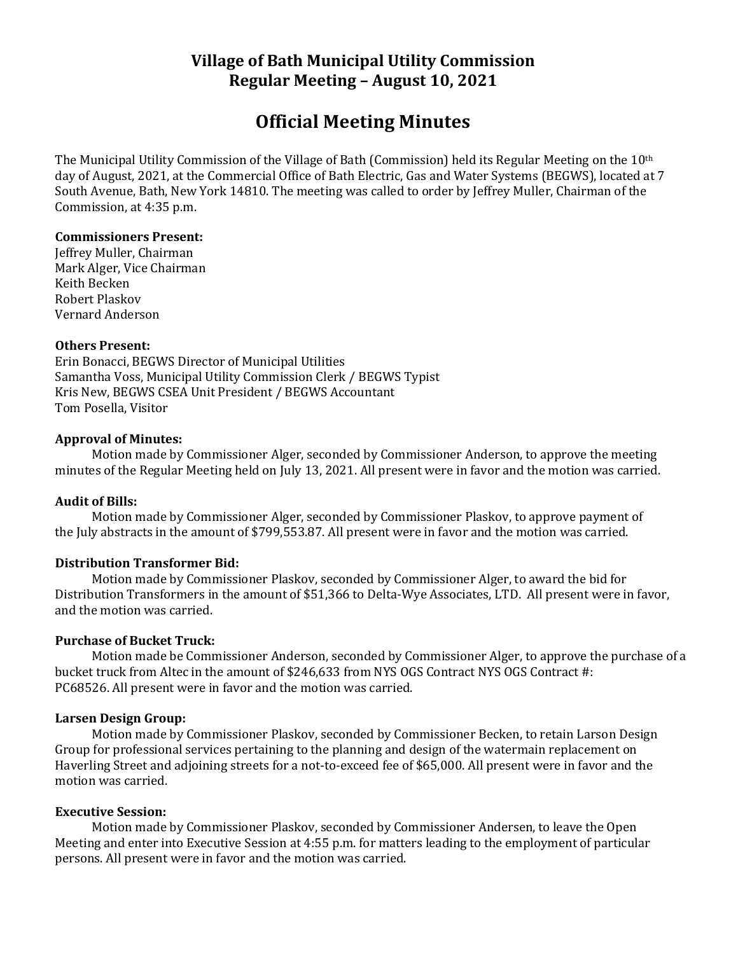# **Village of Bath Municipal Utility Commission Regular Meeting – August 10, 2021**

# **Official Meeting Minutes**

The Municipal Utility Commission of the Village of Bath (Commission) held its Regular Meeting on the 10th day of August, 2021, at the Commercial Office of Bath Electric, Gas and Water Systems (BEGWS), located at 7 South Avenue, Bath, New York 14810. The meeting was called to order by Jeffrey Muller, Chairman of the Commission, at 4:35 p.m.

#### **Commissioners Present:**

Jeffrey Muller, Chairman Mark Alger, Vice Chairman Keith Becken Robert Plaskov Vernard Anderson

#### **Others Present:**

Erin Bonacci, BEGWS Director of Municipal Utilities Samantha Voss, Municipal Utility Commission Clerk / BEGWS Typist Kris New, BEGWS CSEA Unit President / BEGWS Accountant Tom Posella, Visitor

#### **Approval of Minutes:**

Motion made by Commissioner Alger, seconded by Commissioner Anderson, to approve the meeting minutes of the Regular Meeting held on July 13, 2021. All present were in favor and the motion was carried.

#### **Audit of Bills:**

Motion made by Commissioner Alger, seconded by Commissioner Plaskov, to approve payment of the July abstracts in the amount of \$799,553.87. All present were in favor and the motion was carried.

# **Distribution Transformer Bid:**

Motion made by Commissioner Plaskov, seconded by Commissioner Alger, to award the bid for Distribution Transformers in the amount of \$51,366 to Delta-Wye Associates, LTD. All present were in favor, and the motion was carried.

#### **Purchase of Bucket Truck:**

Motion made be Commissioner Anderson, seconded by Commissioner Alger, to approve the purchase of a bucket truck from Altec in the amount of \$246,633 from NYS OGS Contract NYS OGS Contract #: PC68526. All present were in favor and the motion was carried.

#### **Larsen Design Group:**

Motion made by Commissioner Plaskov, seconded by Commissioner Becken, to retain Larson Design Group for professional services pertaining to the planning and design of the watermain replacement on Haverling Street and adjoining streets for a not-to-exceed fee of \$65,000. All present were in favor and the motion was carried.

#### **Executive Session:**

Motion made by Commissioner Plaskov, seconded by Commissioner Andersen, to leave the Open Meeting and enter into Executive Session at 4:55 p.m. for matters leading to the employment of particular persons. All present were in favor and the motion was carried.